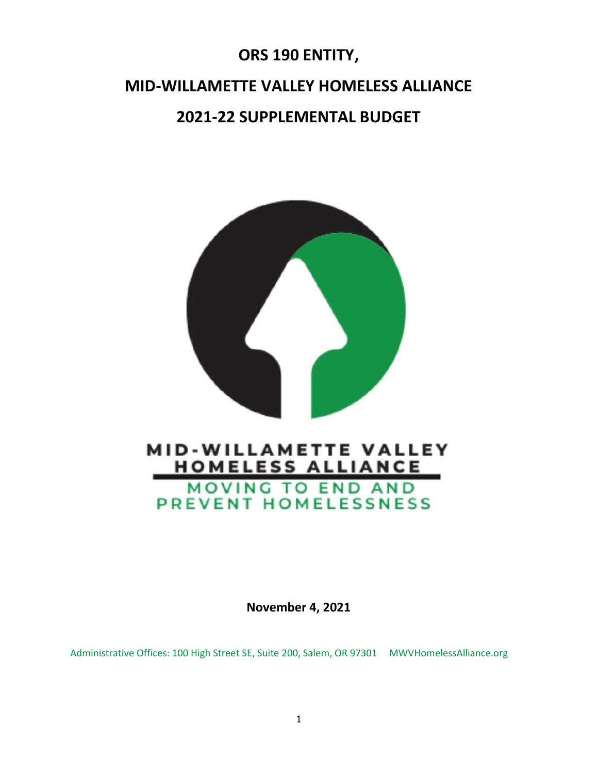# ORS 190 ENTITY, MID-WILLAMETTE VALLEY HOMELESS ALLIANCE 2021-22 SUPPLEMENTAL BUDGET



# MOVING TO END AND PREVENT HOMELESSNESS

November 4, 2021

Administrative Offices: 100 High Street SE, Suite 200, Salem, OR 97301 MWVHomelessAlliance.org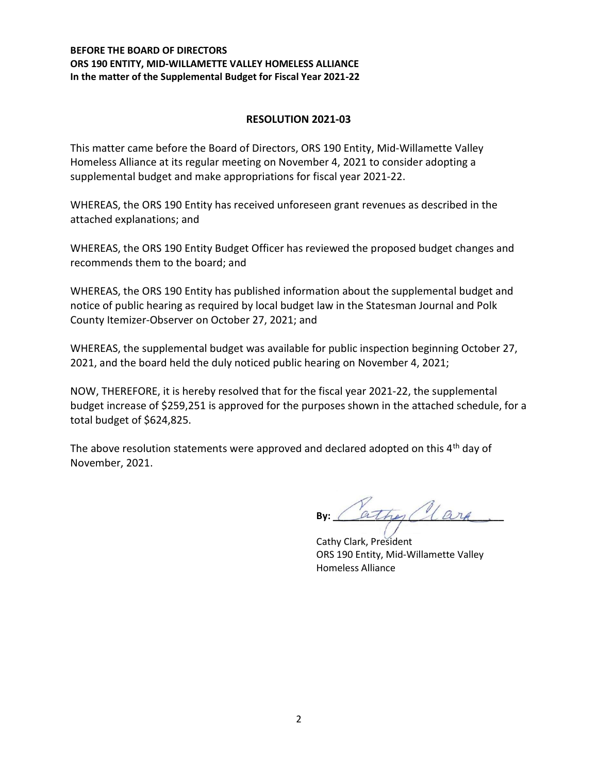## BEFORE THE BOARD OF DIRECTORS ORS 190 ENTITY, MID-WILLAMETTE VALLEY HOMELESS ALLIANCE In the matter of the Supplemental Budget for Fiscal Year 2021-22

## RESOLUTION 2021-03

This matter came before the Board of Directors, ORS 190 Entity, Mid-Willamette Valley Homeless Alliance at its regular meeting on November 4, 2021 to consider adopting a supplemental budget and make appropriations for fiscal year 2021-22.

WHEREAS, the ORS 190 Entity has received unforeseen grant revenues as described in the attached explanations; and

WHEREAS, the ORS 190 Entity Budget Officer has reviewed the proposed budget changes and recommends them to the board; and

WHEREAS, the ORS 190 Entity has published information about the supplemental budget and notice of public hearing as required by local budget law in the Statesman Journal and Polk County Itemizer-Observer on October 27, 2021; and

WHEREAS, the supplemental budget was available for public inspection beginning October 27, 2021, and the board held the duly noticed public hearing on November 4, 2021;

NOW, THEREFORE, it is hereby resolved that for the fiscal year 2021-22, the supplemental budget increase of \$259,251 is approved for the purposes shown in the attached schedule, for a total budget of \$624,825.

The above resolution statements were approved and declared adopted on this  $4<sup>th</sup>$  day of November, 2021.

ather ( Carp

 Cathy Clark, President ORS 190 Entity, Mid-Willamette Valley Homeless Alliance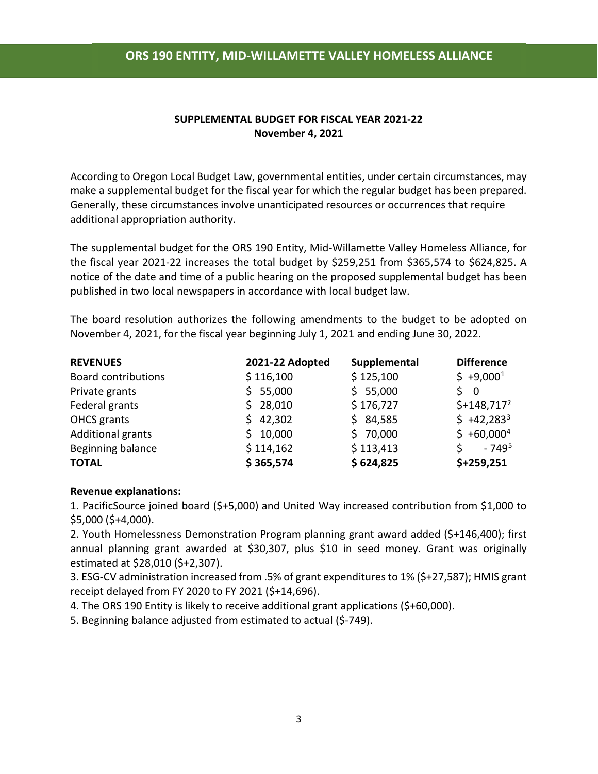# ORS 190 ENTITY, MID-WILLAMETTE VALLEY HOMELESS ALLIANCE

### SUPPLEMENTAL BUDGET FOR FISCAL YEAR 2021-22 November 4, 2021

According to Oregon Local Budget Law, governmental entities, under certain circumstances, may make a supplemental budget for the fiscal year for which the regular budget has been prepared. Generally, these circumstances involve unanticipated resources or occurrences that require additional appropriation authority.

The supplemental budget for the ORS 190 Entity, Mid-Willamette Valley Homeless Alliance, for the fiscal year 2021-22 increases the total budget by \$259,251 from \$365,574 to \$624,825. A notice of the date and time of a public hearing on the proposed supplemental budget has been published in two local newspapers in accordance with local budget law.

The board resolution authorizes the following amendments to the budget to be adopted on November 4, 2021, for the fiscal year beginning July 1, 2021 and ending June 30, 2022.

| <b>REVENUES</b>            | 2021-22 Adopted | Supplemental | <b>Difference</b> |
|----------------------------|-----------------|--------------|-------------------|
| <b>Board contributions</b> | \$116,100       | \$125,100    | $$+9,000^1$       |
| Private grants             | \$55,000        | \$55,000     | 50                |
| Federal grants             | \$28,010        | \$176,727    | $$+148,717^2$     |
| OHCS grants                | \$42,302        | \$84,585     | $$+42,283^3$      |
| <b>Additional grants</b>   | \$10,000        | \$70,000     | $$+60,000^4$      |
| <b>Beginning balance</b>   | \$114,162       | \$113,413    | $-749^{5}$        |
| <b>TOTAL</b>               | \$365,574       | \$624,825    | $$+259,251$       |

#### Revenue explanations:

1. PacificSource joined board (\$+5,000) and United Way increased contribution from \$1,000 to \$5,000 (\$+4,000).

2. Youth Homelessness Demonstration Program planning grant award added (\$+146,400); first annual planning grant awarded at \$30,307, plus \$10 in seed money. Grant was originally estimated at \$28,010 (\$+2,307).

3. ESG-CV administration increased from .5% of grant expenditures to 1% (\$+27,587); HMIS grant receipt delayed from FY 2020 to FY 2021 (\$+14,696).

4. The ORS 190 Entity is likely to receive additional grant applications (\$+60,000).

5. Beginning balance adjusted from estimated to actual (\$-749).